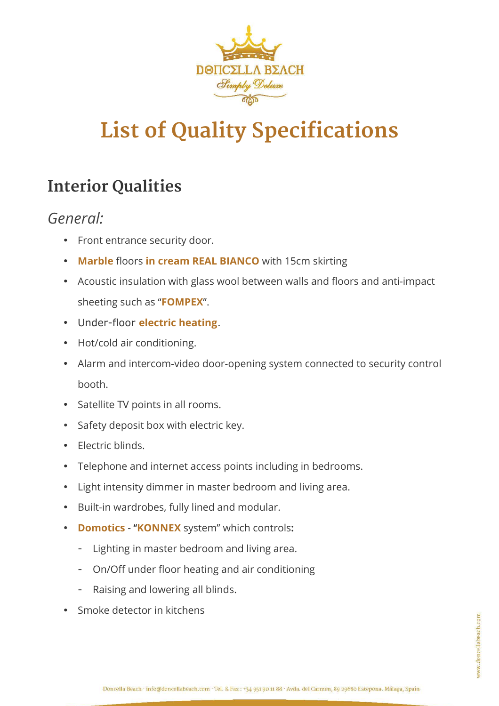

# **List of Quality Specifications**

# **Interior Qualities**

# *General:*

- Front entrance security door.
- **Marble** floors **in cream REAL BIANCO** with 15cm skirting
- Acoustic insulation with glass wool between walls and floors and anti-impact sheeting such as "**FOMPEX**".
- Under-floor **electric heating**.
- Hot/cold air conditioning.
- Alarm and intercom-video door-opening system connected to security control booth.
- Satellite TV points in all rooms.
- Safety deposit box with electric key.
- **Electric blinds**.
- Telephone and internet access points including in bedrooms.
- Light intensity dimmer in master bedroom and living area.
- Built-in wardrobes, fully lined and modular.
- **Domotics** "**KONNEX** system" which controls**:**
	- Lighting in master bedroom and living area.
	- On/Off under floor heating and air conditioning
	- Raising and lowering all blinds.
- Smoke detector in kitchens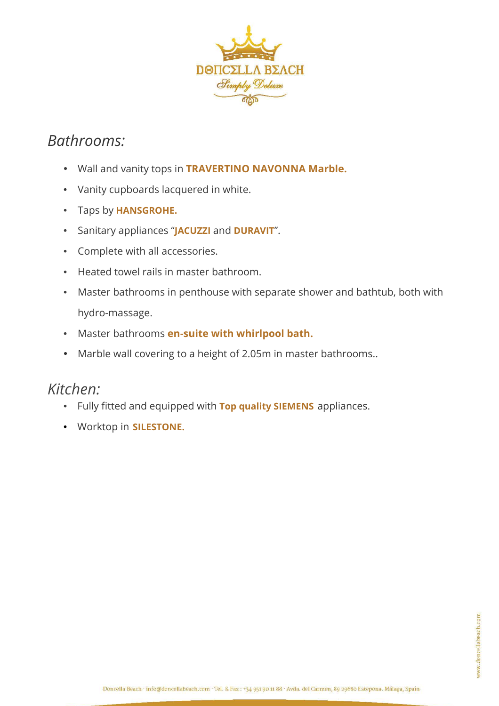

# *Bathrooms:*

- Wall and vanity tops in **TRAVERTINO NAVONNA Marble.**
- Vanity cupboards lacquered in white.
- Taps by **HANSGROHE.**
- Sanitary appliances "**JACUZZI** and **DURAVIT**".
- Complete with all accessories.
- Heated towel rails in master bathroom.
- Master bathrooms in penthouse with separate shower and bathtub, both with hydro-massage.
- Master bathrooms **en-suite with whirlpool bath.**
- Marble wall covering to a height of 2.05m in master bathrooms..

## *Kitchen:*

- Fully fitted and equipped with **Top quality SIEMENS** appliances.
- Worktop in **SILESTONE.**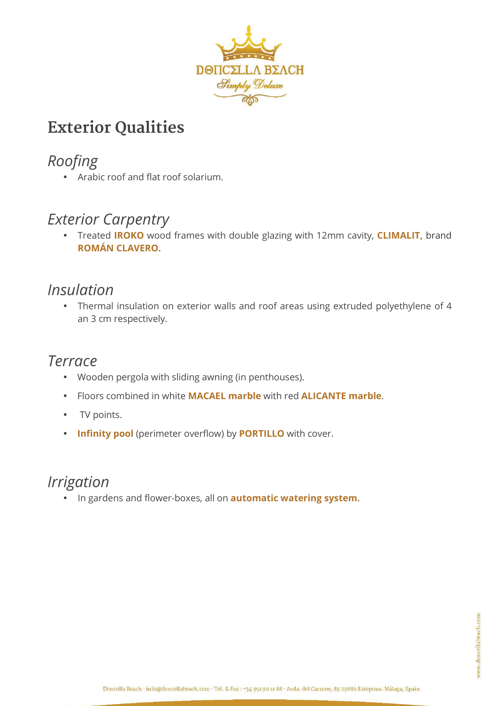

# **Exterior Qualities**

# *Roofing*

• Arabic roof and flat roof solarium.

# *Exterior Carpentry*

• Treated **IROKO** wood frames with double glazing with 12mm cavity, **CLIMALIT,** brand **ROMÁN CLAVERO.**

# *Insulation*

• Thermal insulation on exterior walls and roof areas using extruded polyethylene of 4 an 3 cm respectively.

## *Terrace*

- Wooden pergola with sliding awning (in penthouses).
- Floors combined in white **MACAEL marble** with red **ALICANTE marble**.
- TV points.
- **Infinity pool** (perimeter overflow) by **PORTILLO** with cover.

## *Irrigation*

• In gardens and flower-boxes, all on **automatic watering system.**